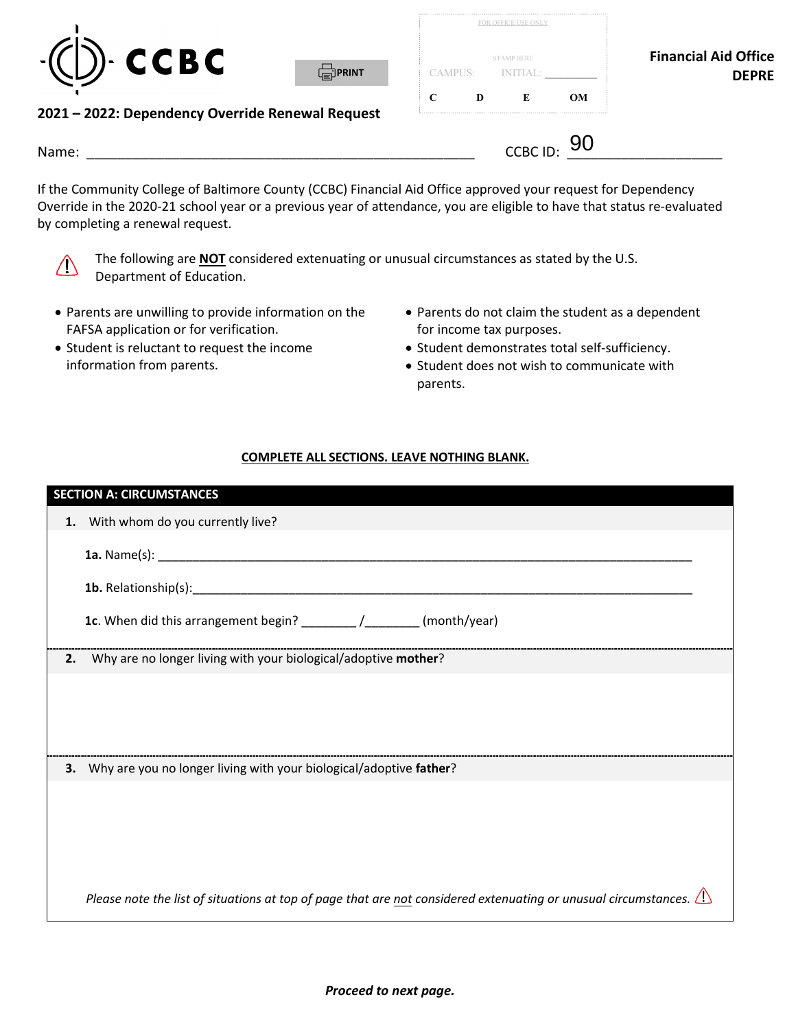

| <b>Financial Aid Office</b> |           | <b>STAMP HERE</b> |   |   |
|-----------------------------|-----------|-------------------|---|---|
| <b>DEPRE</b>                |           | CAMPUS: NITIAL:   |   |   |
|                             | <b>OM</b> | E                 | D | C |

## **2021 – 2022: Dependency Override Renewal Request**

| Name: | $\overline{C}$ CRC ID:<br>$    -$ | ∽<br>YU |
|-------|-----------------------------------|---------|
|       |                                   |         |

⊯]PRINT

 If the Community College of Baltimore County (CCBC) Financial Aid Office approved your request for Dependency Override in the 2020-21 school year or a previous year of attendance, you are eligible to have that status re-evaluated by completing a renewal request.



The following are **NOT** considered extenuating or unusual circumstances as stated by the U.S. Department of Education.

- Parents are unwilling to provide information on the Parents do not claim the student as a dependent FAFSA application or for verification. The same of the form income tax purposes.
- 
- 
- Student is reluctant to request the income Student demonstrates total self-sufficiency.
	- information from parents.  $\bullet$  Student does not wish to communicate with parents.

## **COMPLETE ALL SECTIONS. LEAVE NOTHING BLANK.**

|    | <b>SECTION A: CIRCUMSTANCES</b>                                                                                        |
|----|------------------------------------------------------------------------------------------------------------------------|
| 1. | With whom do you currently live?                                                                                       |
|    |                                                                                                                        |
|    |                                                                                                                        |
|    | 1c. When did this arrangement begin? __________________________(month/year)                                            |
| 2. | Why are no longer living with your biological/adoptive mother?                                                         |
|    |                                                                                                                        |
|    |                                                                                                                        |
|    |                                                                                                                        |
|    | 3. Why are you no longer living with your biological/adoptive father?                                                  |
|    |                                                                                                                        |
|    |                                                                                                                        |
|    |                                                                                                                        |
|    |                                                                                                                        |
|    | Please note the list of situations at top of page that are not considered extenuating or unusual circumstances. $\Box$ |